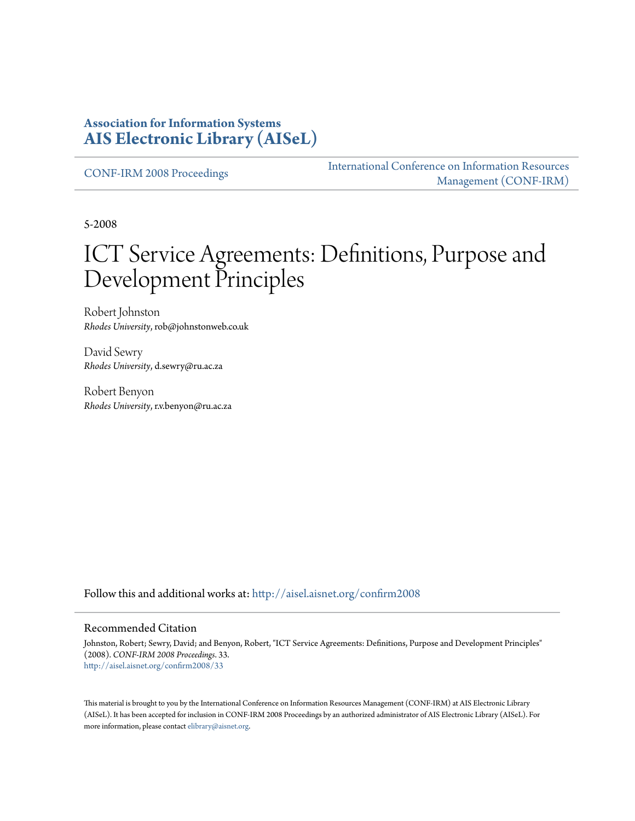#### **Association for Information Systems [AIS Electronic Library \(AISeL\)](http://aisel.aisnet.org?utm_source=aisel.aisnet.org%2Fconfirm2008%2F33&utm_medium=PDF&utm_campaign=PDFCoverPages)**

[CONF-IRM 2008 Proceedings](http://aisel.aisnet.org/confirm2008?utm_source=aisel.aisnet.org%2Fconfirm2008%2F33&utm_medium=PDF&utm_campaign=PDFCoverPages)

[International Conference on Information Resources](http://aisel.aisnet.org/conf-irm?utm_source=aisel.aisnet.org%2Fconfirm2008%2F33&utm_medium=PDF&utm_campaign=PDFCoverPages) [Management \(CONF-IRM\)](http://aisel.aisnet.org/conf-irm?utm_source=aisel.aisnet.org%2Fconfirm2008%2F33&utm_medium=PDF&utm_campaign=PDFCoverPages)

5-2008

# ICT Service Agreements: Definitions, Purpose and Development Principles

Robert Johnston *Rhodes University*, rob@johnstonweb.co.uk

David Sewry *Rhodes University*, d.sewry@ru.ac.za

Robert Benyon *Rhodes University*, r.v.benyon@ru.ac.za

Follow this and additional works at: [http://aisel.aisnet.org/confirm2008](http://aisel.aisnet.org/confirm2008?utm_source=aisel.aisnet.org%2Fconfirm2008%2F33&utm_medium=PDF&utm_campaign=PDFCoverPages)

#### Recommended Citation

Johnston, Robert; Sewry, David; and Benyon, Robert, "ICT Service Agreements: Definitions, Purpose and Development Principles" (2008). *CONF-IRM 2008 Proceedings*. 33. [http://aisel.aisnet.org/confirm2008/33](http://aisel.aisnet.org/confirm2008/33?utm_source=aisel.aisnet.org%2Fconfirm2008%2F33&utm_medium=PDF&utm_campaign=PDFCoverPages)

This material is brought to you by the International Conference on Information Resources Management (CONF-IRM) at AIS Electronic Library (AISeL). It has been accepted for inclusion in CONF-IRM 2008 Proceedings by an authorized administrator of AIS Electronic Library (AISeL). For more information, please contact [elibrary@aisnet.org.](mailto:elibrary@aisnet.org%3E)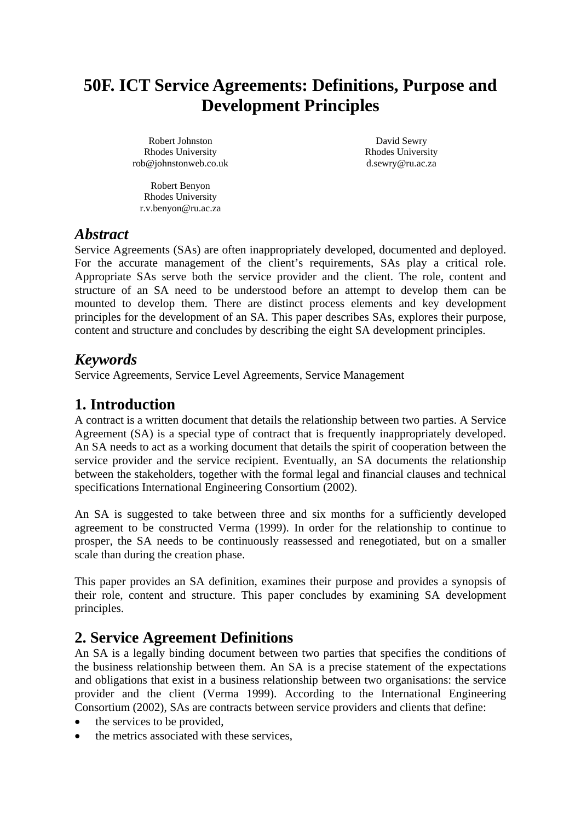# **50F. ICT Service Agreements: Definitions, Purpose and Development Principles**

Robert Johnston Rhodes University rob@johnstonweb.co.uk

David Sewry Rhodes University d.sewry@ru.ac.za

Robert Benyon Rhodes University r.v.benyon@ru.ac.za

### *Abstract*

Service Agreements (SAs) are often inappropriately developed, documented and deployed. For the accurate management of the client's requirements, SAs play a critical role. Appropriate SAs serve both the service provider and the client. The role, content and structure of an SA need to be understood before an attempt to develop them can be mounted to develop them. There are distinct process elements and key development principles for the development of an SA. This paper describes SAs, explores their purpose, content and structure and concludes by describing the eight SA development principles.

# *Keywords*

Service Agreements, Service Level Agreements, Service Management

# **1. Introduction**

A contract is a written document that details the relationship between two parties. A Service Agreement (SA) is a special type of contract that is frequently inappropriately developed. An SA needs to act as a working document that details the spirit of cooperation between the service provider and the service recipient. Eventually, an SA documents the relationship between the stakeholders, together with the formal legal and financial clauses and technical specifications International Engineering Consortium (2002).

An SA is suggested to take between three and six months for a sufficiently developed agreement to be constructed Verma (1999). In order for the relationship to continue to prosper, the SA needs to be continuously reassessed and renegotiated, but on a smaller scale than during the creation phase.

This paper provides an SA definition, examines their purpose and provides a synopsis of their role, content and structure. This paper concludes by examining SA development principles.

# **2. Service Agreement Definitions**

An SA is a legally binding document between two parties that specifies the conditions of the business relationship between them. An SA is a precise statement of the expectations and obligations that exist in a business relationship between two organisations: the service provider and the client (Verma 1999). According to the International Engineering Consortium (2002), SAs are contracts between service providers and clients that define:

- the services to be provided,
- the metrics associated with these services,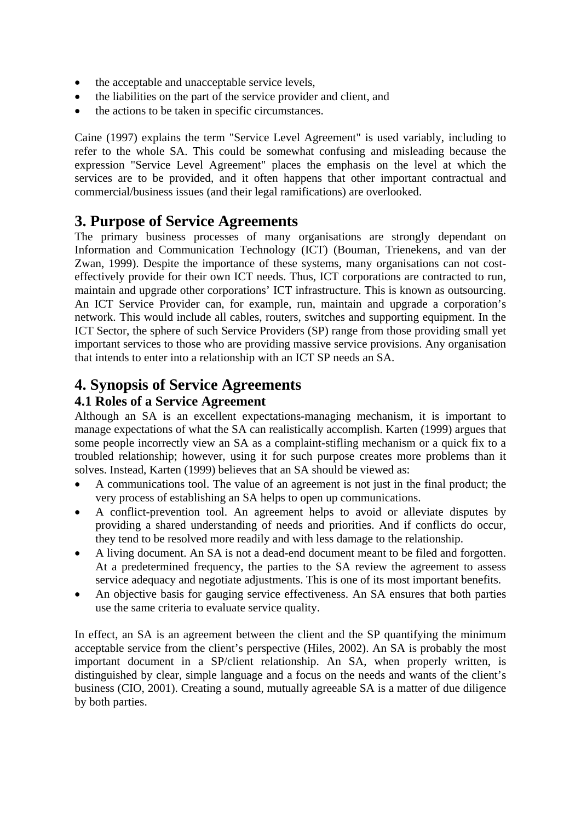- the acceptable and unacceptable service levels,
- the liabilities on the part of the service provider and client, and
- the actions to be taken in specific circumstances.

Caine (1997) explains the term "Service Level Agreement" is used variably, including to refer to the whole SA. This could be somewhat confusing and misleading because the expression "Service Level Agreement" places the emphasis on the level at which the services are to be provided, and it often happens that other important contractual and commercial/business issues (and their legal ramifications) are overlooked.

# **3. Purpose of Service Agreements**

The primary business processes of many organisations are strongly dependant on Information and Communication Technology (ICT) (Bouman, Trienekens, and van der Zwan, 1999). Despite the importance of these systems, many organisations can not costeffectively provide for their own ICT needs. Thus, ICT corporations are contracted to run, maintain and upgrade other corporations' ICT infrastructure. This is known as outsourcing. An ICT Service Provider can, for example, run, maintain and upgrade a corporation's network. This would include all cables, routers, switches and supporting equipment. In the ICT Sector, the sphere of such Service Providers (SP) range from those providing small yet important services to those who are providing massive service provisions. Any organisation that intends to enter into a relationship with an ICT SP needs an SA.

# **4. Synopsis of Service Agreements**

#### **4.1 Roles of a Service Agreement**

Although an SA is an excellent expectations-managing mechanism, it is important to manage expectations of what the SA can realistically accomplish. Karten (1999) argues that some people incorrectly view an SA as a complaint-stifling mechanism or a quick fix to a troubled relationship; however, using it for such purpose creates more problems than it solves. Instead, Karten (1999) believes that an SA should be viewed as:

- A communications tool. The value of an agreement is not just in the final product; the very process of establishing an SA helps to open up communications.
- A conflict-prevention tool. An agreement helps to avoid or alleviate disputes by providing a shared understanding of needs and priorities. And if conflicts do occur, they tend to be resolved more readily and with less damage to the relationship.
- A living document. An SA is not a dead-end document meant to be filed and forgotten. At a predetermined frequency, the parties to the SA review the agreement to assess service adequacy and negotiate adjustments. This is one of its most important benefits.
- An objective basis for gauging service effectiveness. An SA ensures that both parties use the same criteria to evaluate service quality.

In effect, an SA is an agreement between the client and the SP quantifying the minimum acceptable service from the client's perspective (Hiles, 2002). An SA is probably the most important document in a SP/client relationship. An SA, when properly written, is distinguished by clear, simple language and a focus on the needs and wants of the client's business (CIO, 2001). Creating a sound, mutually agreeable SA is a matter of due diligence by both parties.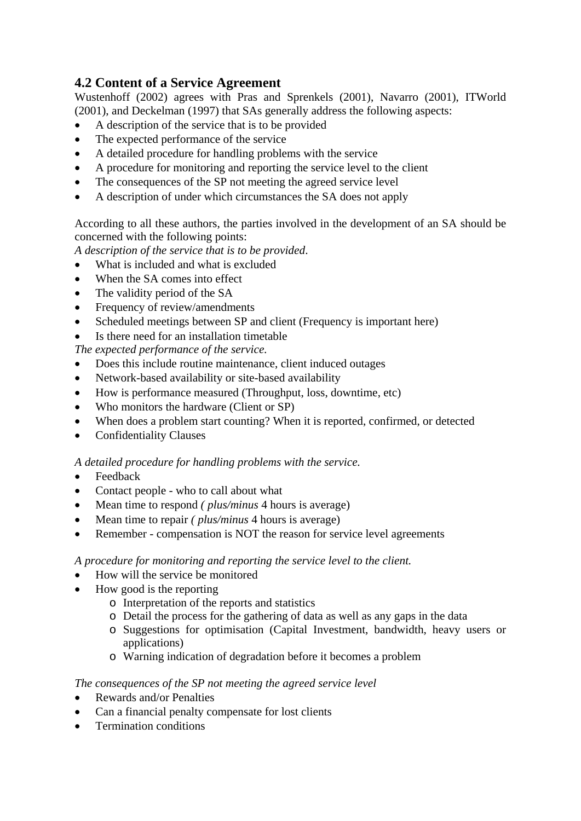#### **4.2 Content of a Service Agreement**

Wustenhoff (2002) agrees with Pras and Sprenkels (2001), Navarro (2001), ITWorld (2001), and Deckelman (1997) that SAs generally address the following aspects:

- A description of the service that is to be provided
- The expected performance of the service
- A detailed procedure for handling problems with the service
- A procedure for monitoring and reporting the service level to the client
- The consequences of the SP not meeting the agreed service level
- A description of under which circumstances the SA does not apply

According to all these authors, the parties involved in the development of an SA should be concerned with the following points:

*A description of the service that is to be provided*.

- What is included and what is excluded
- When the SA comes into effect
- The validity period of the SA
- Frequency of review/amendments
- Scheduled meetings between SP and client (Frequency is important here)
- Is there need for an installation timetable

*The expected performance of the service.* 

- Does this include routine maintenance, client induced outages
- Network-based availability or site-based availability
- How is performance measured (Throughput, loss, downtime, etc)
- Who monitors the hardware (Client or SP)
- When does a problem start counting? When it is reported, confirmed, or detected
- Confidentiality Clauses

*A detailed procedure for handling problems with the service.* 

- Feedback
- Contact people who to call about what
- Mean time to respond *( plus/minus* 4 hours is average)
- Mean time to repair *( plus/minus* 4 hours is average)
- Remember compensation is NOT the reason for service level agreements

*A procedure for monitoring and reporting the service level to the client.* 

- How will the service be monitored
- How good is the reporting
	- o Interpretation of the reports and statistics
	- o Detail the process for the gathering of data as well as any gaps in the data
	- o Suggestions for optimisation (Capital Investment, bandwidth, heavy users or applications)
	- o Warning indication of degradation before it becomes a problem

#### *The consequences of the SP not meeting the agreed service level*

- Rewards and/or Penalties
- Can a financial penalty compensate for lost clients
- Termination conditions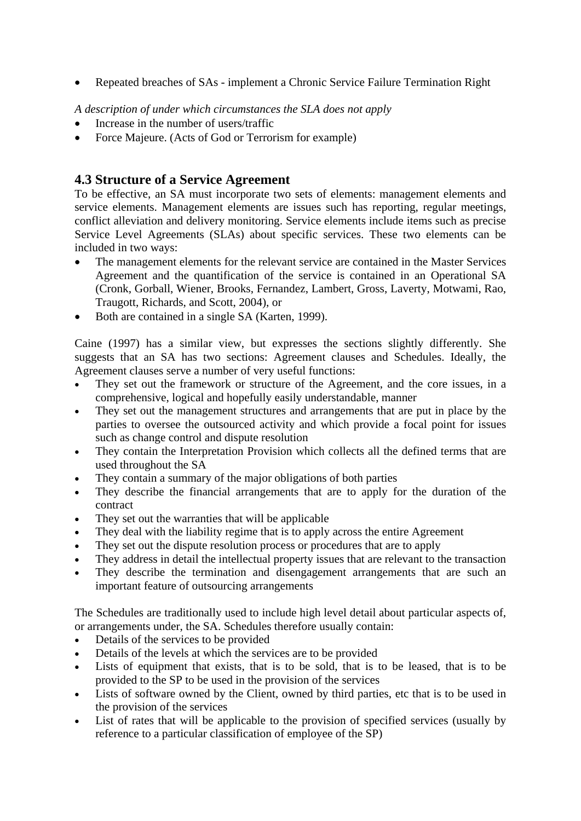• Repeated breaches of SAs - implement a Chronic Service Failure Termination Right

*A description of under which circumstances the SLA does not apply* 

- Increase in the number of users/traffic
- Force Majeure. (Acts of God or Terrorism for example)

#### **4.3 Structure of a Service Agreement**

To be effective, an SA must incorporate two sets of elements: management elements and service elements. Management elements are issues such has reporting, regular meetings, conflict alleviation and delivery monitoring. Service elements include items such as precise Service Level Agreements (SLAs) about specific services. These two elements can be included in two ways:

- The management elements for the relevant service are contained in the Master Services Agreement and the quantification of the service is contained in an Operational SA (Cronk, Gorball, Wiener, Brooks, Fernandez, Lambert, Gross, Laverty, Motwami, Rao, Traugott, Richards, and Scott, 2004), or
- Both are contained in a single SA (Karten, 1999).

Caine (1997) has a similar view, but expresses the sections slightly differently. She suggests that an SA has two sections: Agreement clauses and Schedules. Ideally, the Agreement clauses serve a number of very useful functions:

- They set out the framework or structure of the Agreement, and the core issues, in a comprehensive, logical and hopefully easily understandable, manner
- They set out the management structures and arrangements that are put in place by the parties to oversee the outsourced activity and which provide a focal point for issues such as change control and dispute resolution
- They contain the Interpretation Provision which collects all the defined terms that are used throughout the SA
- They contain a summary of the major obligations of both parties
- They describe the financial arrangements that are to apply for the duration of the contract
- They set out the warranties that will be applicable
- They deal with the liability regime that is to apply across the entire Agreement
- They set out the dispute resolution process or procedures that are to apply
- They address in detail the intellectual property issues that are relevant to the transaction
- They describe the termination and disengagement arrangements that are such an important feature of outsourcing arrangements

The Schedules are traditionally used to include high level detail about particular aspects of, or arrangements under, the SA. Schedules therefore usually contain:

- Details of the services to be provided
- Details of the levels at which the services are to be provided
- Lists of equipment that exists, that is to be sold, that is to be leased, that is to be provided to the SP to be used in the provision of the services
- Lists of software owned by the Client, owned by third parties, etc that is to be used in the provision of the services
- List of rates that will be applicable to the provision of specified services (usually by reference to a particular classification of employee of the SP)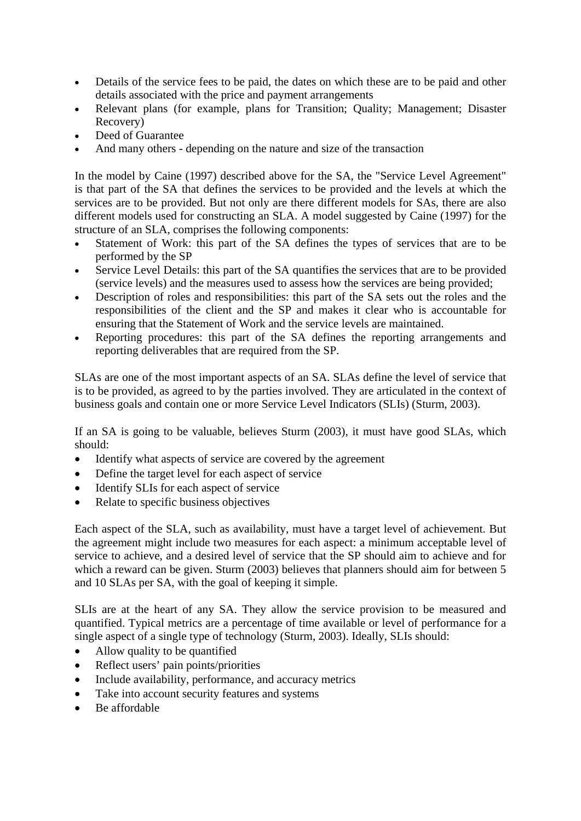- Details of the service fees to be paid, the dates on which these are to be paid and other details associated with the price and payment arrangements
- Relevant plans (for example, plans for Transition; Quality; Management; Disaster Recovery)
- Deed of Guarantee
- And many others depending on the nature and size of the transaction

In the model by Caine (1997) described above for the SA, the "Service Level Agreement" is that part of the SA that defines the services to be provided and the levels at which the services are to be provided. But not only are there different models for SAs, there are also different models used for constructing an SLA. A model suggested by Caine (1997) for the structure of an SLA, comprises the following components:

- Statement of Work: this part of the SA defines the types of services that are to be performed by the SP
- Service Level Details: this part of the SA quantifies the services that are to be provided (service levels) and the measures used to assess how the services are being provided;
- Description of roles and responsibilities: this part of the SA sets out the roles and the responsibilities of the client and the SP and makes it clear who is accountable for ensuring that the Statement of Work and the service levels are maintained.
- Reporting procedures: this part of the SA defines the reporting arrangements and reporting deliverables that are required from the SP.

SLAs are one of the most important aspects of an SA. SLAs define the level of service that is to be provided, as agreed to by the parties involved. They are articulated in the context of business goals and contain one or more Service Level Indicators (SLIs) (Sturm, 2003).

If an SA is going to be valuable, believes Sturm (2003), it must have good SLAs, which should:

- Identify what aspects of service are covered by the agreement
- Define the target level for each aspect of service
- Identify SLIs for each aspect of service
- Relate to specific business objectives

Each aspect of the SLA, such as availability, must have a target level of achievement. But the agreement might include two measures for each aspect: a minimum acceptable level of service to achieve, and a desired level of service that the SP should aim to achieve and for which a reward can be given. Sturm (2003) believes that planners should aim for between 5 and 10 SLAs per SA, with the goal of keeping it simple.

SLIs are at the heart of any SA. They allow the service provision to be measured and quantified. Typical metrics are a percentage of time available or level of performance for a single aspect of a single type of technology (Sturm, 2003). Ideally, SLIs should:

- Allow quality to be quantified
- Reflect users' pain points/priorities
- Include availability, performance, and accuracy metrics
- Take into account security features and systems
- Be affordable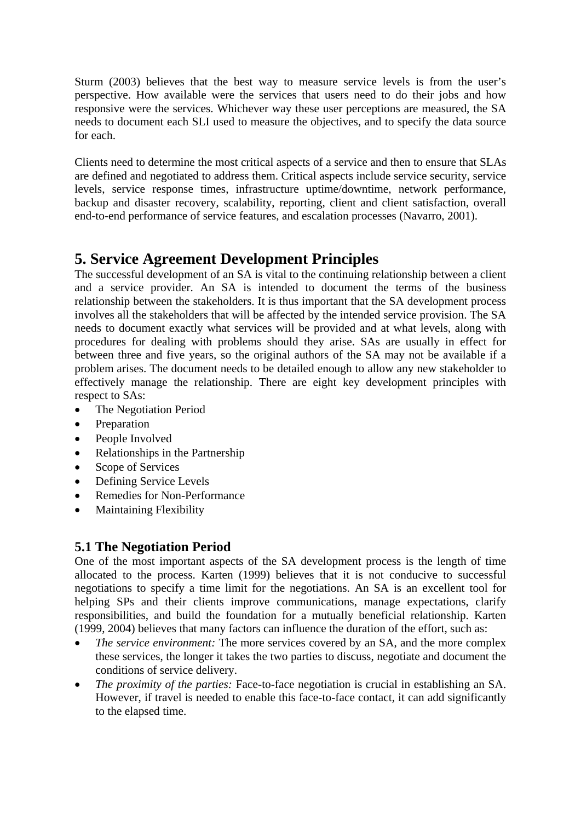Sturm (2003) believes that the best way to measure service levels is from the user's perspective. How available were the services that users need to do their jobs and how responsive were the services. Whichever way these user perceptions are measured, the SA needs to document each SLI used to measure the objectives, and to specify the data source for each.

Clients need to determine the most critical aspects of a service and then to ensure that SLAs are defined and negotiated to address them. Critical aspects include service security, service levels, service response times, infrastructure uptime/downtime, network performance, backup and disaster recovery, scalability, reporting, client and client satisfaction, overall end-to-end performance of service features, and escalation processes (Navarro, 2001).

# **5. Service Agreement Development Principles**

The successful development of an SA is vital to the continuing relationship between a client and a service provider. An SA is intended to document the terms of the business relationship between the stakeholders. It is thus important that the SA development process involves all the stakeholders that will be affected by the intended service provision. The SA needs to document exactly what services will be provided and at what levels, along with procedures for dealing with problems should they arise. SAs are usually in effect for between three and five years, so the original authors of the SA may not be available if a problem arises. The document needs to be detailed enough to allow any new stakeholder to effectively manage the relationship. There are eight key development principles with respect to SAs:

- The Negotiation Period
- Preparation
- People Involved
- Relationships in the Partnership
- Scope of Services
- Defining Service Levels
- Remedies for Non-Performance
- Maintaining Flexibility

#### **5.1 The Negotiation Period**

One of the most important aspects of the SA development process is the length of time allocated to the process. Karten (1999) believes that it is not conducive to successful negotiations to specify a time limit for the negotiations. An SA is an excellent tool for helping SPs and their clients improve communications, manage expectations, clarify responsibilities, and build the foundation for a mutually beneficial relationship. Karten (1999, 2004) believes that many factors can influence the duration of the effort, such as:

- *The service environment:* The more services covered by an SA, and the more complex these services, the longer it takes the two parties to discuss, negotiate and document the conditions of service delivery.
- *The proximity of the parties:* Face-to-face negotiation is crucial in establishing an SA. However, if travel is needed to enable this face-to-face contact, it can add significantly to the elapsed time.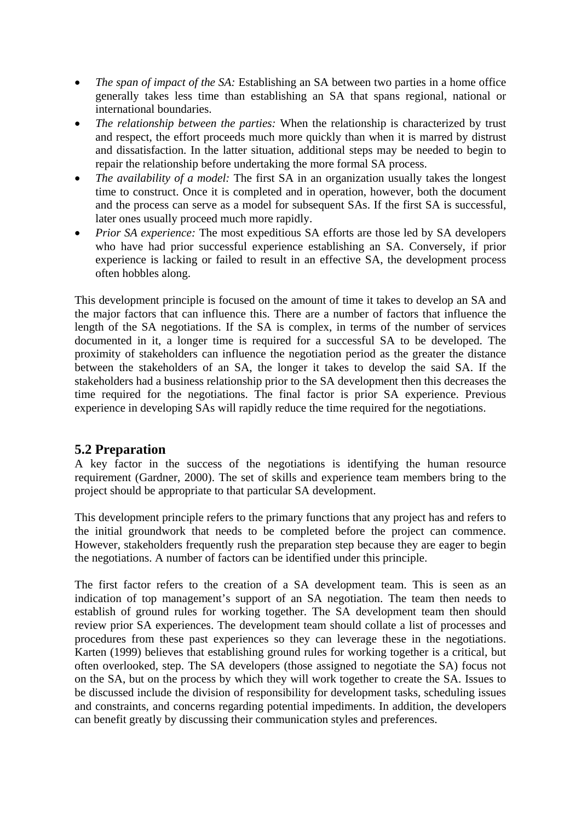- *The span of impact of the SA:* Establishing an SA between two parties in a home office generally takes less time than establishing an SA that spans regional, national or international boundaries.
- *The relationship between the parties:* When the relationship is characterized by trust and respect, the effort proceeds much more quickly than when it is marred by distrust and dissatisfaction. In the latter situation, additional steps may be needed to begin to repair the relationship before undertaking the more formal SA process.
- *The availability of a model:* The first SA in an organization usually takes the longest time to construct. Once it is completed and in operation, however, both the document and the process can serve as a model for subsequent SAs. If the first SA is successful, later ones usually proceed much more rapidly.
- *Prior SA experience:* The most expeditious SA efforts are those led by SA developers who have had prior successful experience establishing an SA. Conversely, if prior experience is lacking or failed to result in an effective SA, the development process often hobbles along.

This development principle is focused on the amount of time it takes to develop an SA and the major factors that can influence this. There are a number of factors that influence the length of the SA negotiations. If the SA is complex, in terms of the number of services documented in it, a longer time is required for a successful SA to be developed. The proximity of stakeholders can influence the negotiation period as the greater the distance between the stakeholders of an SA, the longer it takes to develop the said SA. If the stakeholders had a business relationship prior to the SA development then this decreases the time required for the negotiations. The final factor is prior SA experience. Previous experience in developing SAs will rapidly reduce the time required for the negotiations.

#### **5.2 Preparation**

A key factor in the success of the negotiations is identifying the human resource requirement (Gardner, 2000). The set of skills and experience team members bring to the project should be appropriate to that particular SA development.

This development principle refers to the primary functions that any project has and refers to the initial groundwork that needs to be completed before the project can commence. However, stakeholders frequently rush the preparation step because they are eager to begin the negotiations. A number of factors can be identified under this principle.

The first factor refers to the creation of a SA development team. This is seen as an indication of top management's support of an SA negotiation. The team then needs to establish of ground rules for working together. The SA development team then should review prior SA experiences. The development team should collate a list of processes and procedures from these past experiences so they can leverage these in the negotiations. Karten (1999) believes that establishing ground rules for working together is a critical, but often overlooked, step. The SA developers (those assigned to negotiate the SA) focus not on the SA, but on the process by which they will work together to create the SA. Issues to be discussed include the division of responsibility for development tasks, scheduling issues and constraints, and concerns regarding potential impediments. In addition, the developers can benefit greatly by discussing their communication styles and preferences.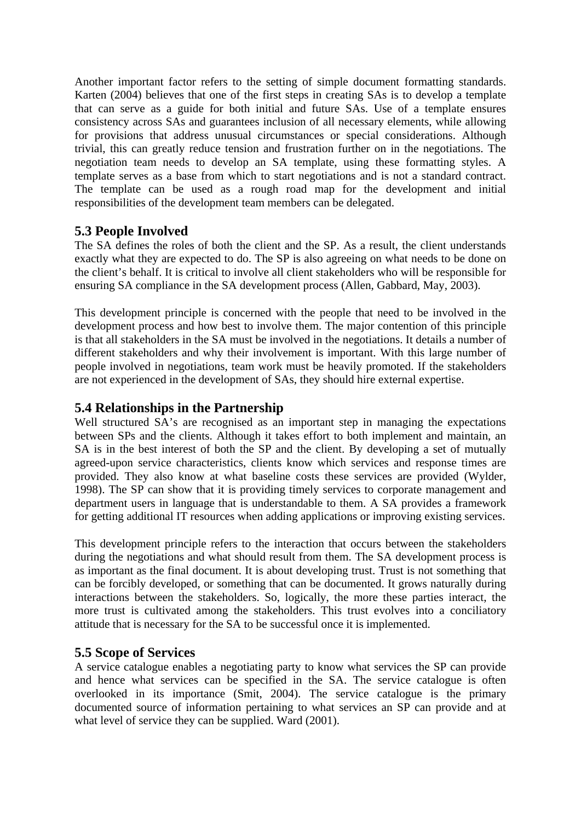Another important factor refers to the setting of simple document formatting standards. Karten (2004) believes that one of the first steps in creating SAs is to develop a template that can serve as a guide for both initial and future SAs. Use of a template ensures consistency across SAs and guarantees inclusion of all necessary elements, while allowing for provisions that address unusual circumstances or special considerations. Although trivial, this can greatly reduce tension and frustration further on in the negotiations. The negotiation team needs to develop an SA template, using these formatting styles. A template serves as a base from which to start negotiations and is not a standard contract. The template can be used as a rough road map for the development and initial responsibilities of the development team members can be delegated.

#### **5.3 People Involved**

The SA defines the roles of both the client and the SP. As a result, the client understands exactly what they are expected to do. The SP is also agreeing on what needs to be done on the client's behalf. It is critical to involve all client stakeholders who will be responsible for ensuring SA compliance in the SA development process (Allen, Gabbard, May, 2003).

This development principle is concerned with the people that need to be involved in the development process and how best to involve them. The major contention of this principle is that all stakeholders in the SA must be involved in the negotiations. It details a number of different stakeholders and why their involvement is important. With this large number of people involved in negotiations, team work must be heavily promoted. If the stakeholders are not experienced in the development of SAs, they should hire external expertise.

#### **5.4 Relationships in the Partnership**

Well structured  $\overline{SA}$ 's are recognised as an important step in managing the expectations between SPs and the clients. Although it takes effort to both implement and maintain, an SA is in the best interest of both the SP and the client. By developing a set of mutually agreed-upon service characteristics, clients know which services and response times are provided. They also know at what baseline costs these services are provided (Wylder, 1998). The SP can show that it is providing timely services to corporate management and department users in language that is understandable to them. A SA provides a framework for getting additional IT resources when adding applications or improving existing services.

This development principle refers to the interaction that occurs between the stakeholders during the negotiations and what should result from them. The SA development process is as important as the final document. It is about developing trust. Trust is not something that can be forcibly developed, or something that can be documented. It grows naturally during interactions between the stakeholders. So, logically, the more these parties interact, the more trust is cultivated among the stakeholders. This trust evolves into a conciliatory attitude that is necessary for the SA to be successful once it is implemented.

#### **5.5 Scope of Services**

A service catalogue enables a negotiating party to know what services the SP can provide and hence what services can be specified in the SA. The service catalogue is often overlooked in its importance (Smit, 2004). The service catalogue is the primary documented source of information pertaining to what services an SP can provide and at what level of service they can be supplied. Ward (2001).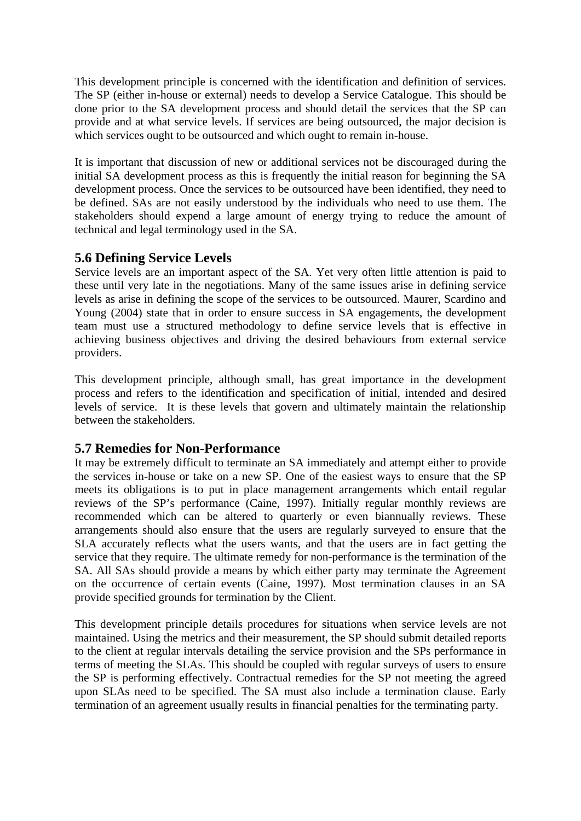This development principle is concerned with the identification and definition of services. The SP (either in-house or external) needs to develop a Service Catalogue. This should be done prior to the SA development process and should detail the services that the SP can provide and at what service levels. If services are being outsourced, the major decision is which services ought to be outsourced and which ought to remain in-house.

It is important that discussion of new or additional services not be discouraged during the initial SA development process as this is frequently the initial reason for beginning the SA development process. Once the services to be outsourced have been identified, they need to be defined. SAs are not easily understood by the individuals who need to use them. The stakeholders should expend a large amount of energy trying to reduce the amount of technical and legal terminology used in the SA.

#### **5.6 Defining Service Levels**

Service levels are an important aspect of the SA. Yet very often little attention is paid to these until very late in the negotiations. Many of the same issues arise in defining service levels as arise in defining the scope of the services to be outsourced. Maurer, Scardino and Young (2004) state that in order to ensure success in SA engagements, the development team must use a structured methodology to define service levels that is effective in achieving business objectives and driving the desired behaviours from external service providers.

This development principle, although small, has great importance in the development process and refers to the identification and specification of initial, intended and desired levels of service. It is these levels that govern and ultimately maintain the relationship between the stakeholders.

#### **5.7 Remedies for Non-Performance**

It may be extremely difficult to terminate an SA immediately and attempt either to provide the services in-house or take on a new SP. One of the easiest ways to ensure that the SP meets its obligations is to put in place management arrangements which entail regular reviews of the SP's performance (Caine, 1997). Initially regular monthly reviews are recommended which can be altered to quarterly or even biannually reviews. These arrangements should also ensure that the users are regularly surveyed to ensure that the SLA accurately reflects what the users wants, and that the users are in fact getting the service that they require. The ultimate remedy for non-performance is the termination of the SA. All SAs should provide a means by which either party may terminate the Agreement on the occurrence of certain events (Caine, 1997). Most termination clauses in an SA provide specified grounds for termination by the Client.

This development principle details procedures for situations when service levels are not maintained. Using the metrics and their measurement, the SP should submit detailed reports to the client at regular intervals detailing the service provision and the SPs performance in terms of meeting the SLAs. This should be coupled with regular surveys of users to ensure the SP is performing effectively. Contractual remedies for the SP not meeting the agreed upon SLAs need to be specified. The SA must also include a termination clause. Early termination of an agreement usually results in financial penalties for the terminating party.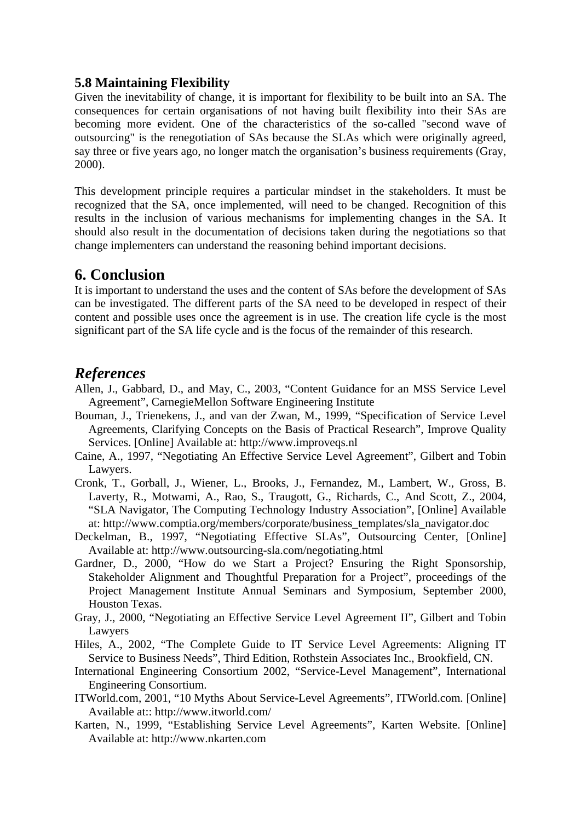#### **5.8 Maintaining Flexibility**

Given the inevitability of change, it is important for flexibility to be built into an SA. The consequences for certain organisations of not having built flexibility into their SAs are becoming more evident. One of the characteristics of the so-called "second wave of outsourcing" is the renegotiation of SAs because the SLAs which were originally agreed, say three or five years ago, no longer match the organisation's business requirements (Gray, 2000).

This development principle requires a particular mindset in the stakeholders. It must be recognized that the SA, once implemented, will need to be changed. Recognition of this results in the inclusion of various mechanisms for implementing changes in the SA. It should also result in the documentation of decisions taken during the negotiations so that change implementers can understand the reasoning behind important decisions.

### **6. Conclusion**

It is important to understand the uses and the content of SAs before the development of SAs can be investigated. The different parts of the SA need to be developed in respect of their content and possible uses once the agreement is in use. The creation life cycle is the most significant part of the SA life cycle and is the focus of the remainder of this research.

### *References*

- Allen, J., Gabbard, D., and May, C., 2003, "Content Guidance for an MSS Service Level Agreement", CarnegieMellon Software Engineering Institute
- Bouman, J., Trienekens, J., and van der Zwan, M., 1999, "Specification of Service Level Agreements, Clarifying Concepts on the Basis of Practical Research", Improve Quality Services. [Online] Available at: http://www.improveqs.nl
- Caine, A., 1997, "Negotiating An Effective Service Level Agreement", Gilbert and Tobin Lawyers.
- Cronk, T., Gorball, J., Wiener, L., Brooks, J., Fernandez, M., Lambert, W., Gross, B. Laverty, R., Motwami, A., Rao, S., Traugott, G., Richards, C., And Scott, Z., 2004, "SLA Navigator, The Computing Technology Industry Association", [Online] Available at: http://www.comptia.org/members/corporate/business\_templates/sla\_navigator.doc
- Deckelman, B., 1997, "Negotiating Effective SLAs", Outsourcing Center, [Online] Available at: http://www.outsourcing-sla.com/negotiating.html
- Gardner, D., 2000, "How do we Start a Project? Ensuring the Right Sponsorship, Stakeholder Alignment and Thoughtful Preparation for a Project", proceedings of the Project Management Institute Annual Seminars and Symposium, September 2000, Houston Texas.
- Gray, J., 2000, "Negotiating an Effective Service Level Agreement II", Gilbert and Tobin Lawyers
- Hiles, A., 2002, "The Complete Guide to IT Service Level Agreements: Aligning IT Service to Business Needs", Third Edition, Rothstein Associates Inc., Brookfield, CN.
- International Engineering Consortium 2002, "Service-Level Management", International Engineering Consortium.
- ITWorld.com, 2001, "10 Myths About Service-Level Agreements", ITWorld.com. [Online] Available at:: http://www.itworld.com/
- Karten, N., 1999, "Establishing Service Level Agreements", Karten Website. [Online] Available at: http://www.nkarten.com